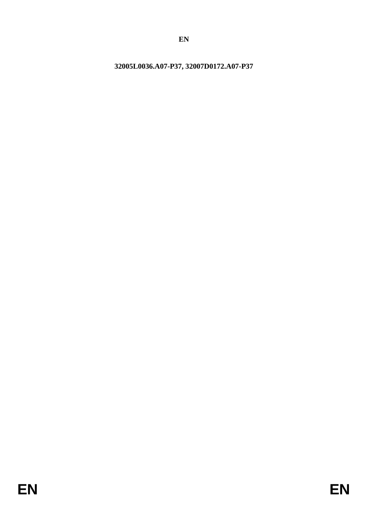**EN**

<span id="page-0-0"></span>**32005L0036.A07-P37, 32007D0172.A07-P37**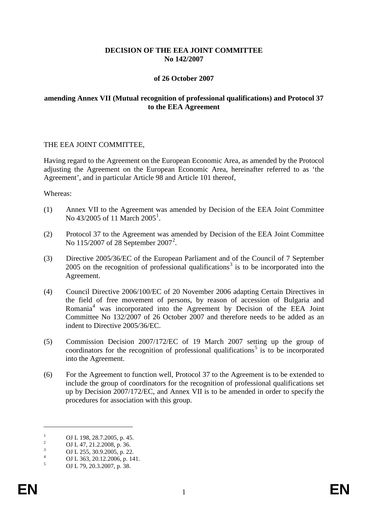## **DECISION OF THE EEA JOINT COMMITTEE No 142/2007**

## **of 26 October 2007**

## **amending Annex VII (Mutual recognition of professional qualifications) and Protocol 37 to the EEA Agreement**

#### THE EEA JOINT COMMITTEE,

Having regard to the Agreement on the European Economic Area, as amended by the Protocol adjusting the Agreement on the European Economic Area, hereinafter referred to as 'the Agreement', and in particular Article 98 and Article 101 thereof,

#### Whereas:

- (1) Annex VII to the Agreement was amended by Decision of the EEA Joint Committee No  $43/2005$  of [1](#page-0-0)1 March  $2005^1$ .
- (2) Protocol 37 to the Agreement was amended by Decision of the EEA Joint Committee No 115/[2](#page-1-0)007 of 28 September 2007<sup>2</sup>.
- (3) Directive 2005/36/EC of the European Parliament and of the Council of 7 September 2005 on the recognition of professional qualifications<sup>[3](#page-1-1)</sup> is to be incorporated into the Agreement.
- (4) Council Directive 2006/100/EC of 20 November 2006 adapting Certain Directives in the field of free movement of persons, by reason of accession of Bulgaria and Romania[4](#page-1-2) was incorporated into the Agreement by Decision of the EEA Joint Committee No 132/2007 of 26 October 2007 and therefore needs to be added as an indent to Directive 2005/36/EC.
- <span id="page-1-4"></span>(5) Commission Decision 2007/172/EC of 19 March 2007 setting up the group of coordinators for the recognition of professional qualifications<sup>[5](#page-1-3)</sup> is to be incorporated into the Agreement.
- (6) For the Agreement to function well, Protocol 37 to the Agreement is to be extended to include the group of coordinators for the recognition of professional qualifications set up by Decision 2007/172/EC, and Annex VII is to be amended in order to specify the procedures for association with this group.

 $\overline{a}$ 

<span id="page-1-2"></span><span id="page-1-1"></span>

<span id="page-1-0"></span><sup>1</sup> OJ L 198, 28.7.2005, p. 45.<br>
2 OJ L 47, 21.2.2008, p. 36.<br>
3 OJ L 255, 30.9.2005, p. 22.<br>
4 OJ L 363, 20.12.2006, p. 141.<br>
5 OJ L 79, 20.3.2007, p. 38.

<span id="page-1-3"></span>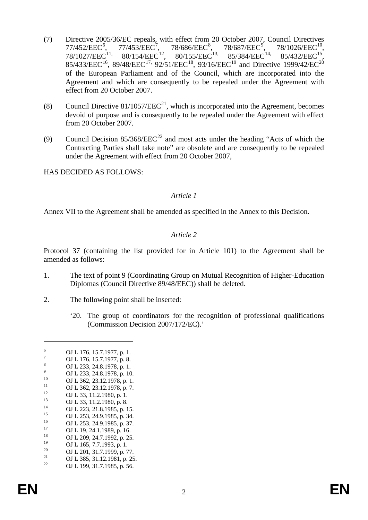- (7) Directive 2005/36/EC repeals, with effect from 20 October 2007, Council Directives 77/452/EEC<sup>[6](#page-1-4)</sup>,<br>78/1027/EEC<sup>11,</sup>  $, 77/453/EEC^7, 78/686/EEC^8, 78/687/EEC^9$  $, 77/453/EEC^7, 78/686/EEC^8, 78/687/EEC^9$  $, 77/453/EEC^7, 78/686/EEC^8, 78/687/EEC^9$  $, 77/453/EEC^7, 78/686/EEC^8, 78/687/EEC^9$  $, 77/453/EEC^7, 78/686/EEC^8, 78/687/EEC^9$  $, 77/453/EEC^7, 78/686/EEC^8, 78/687/EEC^9$ 78/1026/EEC<sup>10</sup>,<br>85/432/EEC<sup>15</sup>.  $78/1027/EEC^{11}$  $78/1027/EEC^{11}$  $78/1027/EEC^{11}$ ,  $80/154/EEC^{12}$  $80/154/EEC^{12}$  $80/154/EEC^{12}$ ,  $80/155/EEC^{13}$ ,  $85/384/EEC^{14}$  $85/384/EEC^{14}$  $85/384/EEC^{14}$ ,  $85/432/EEC^{15}$ , 85/433/EEC<sup>[16](#page-2-9)</sup>, 89/48/EEC<sup>[17,](#page-2-10)</sup> 92/51/EEC<sup>18</sup>, 93/16/EEC<sup>[19](#page-2-12)</sup> and Directive 1999/42/EC<sup>[20](#page-2-13)</sup> of the European Parliament and of the Council, which are incorporated into the Agreement and which are consequently to be repealed under the Agreement with effect from 20 October 2007.
- (8) Council Directive  $81/1057/EEC^{21}$  $81/1057/EEC^{21}$  $81/1057/EEC^{21}$ , which is incorporated into the Agreement, becomes devoid of purpose and is consequently to be repealed under the Agreement with effect from 20 October 2007.
- (9) Council Decision  $85/368/EEC<sup>22</sup>$  $85/368/EEC<sup>22</sup>$  $85/368/EEC<sup>22</sup>$  and most acts under the heading "Acts of which the Contracting Parties shall take note" are obsolete and are consequently to be repealed under the Agreement with effect from 20 October 2007,

HAS DECIDED AS FOLLOWS:

#### *Article 1*

Annex VII to the Agreement shall be amended as specified in the Annex to this Decision.

## *Article 2*

Protocol 37 (containing the list provided for in Article 101) to the Agreement shall be amended as follows:

- 1. The text of point 9 (Coordinating Group on Mutual Recognition of Higher-Education Diplomas (Council Directive 89/48/EEC)) shall be deleted.
- 2. The following point shall be inserted:
	- '20. The group of coordinators for the recognition of professional qualifications (Commission Decision 2007/172/EC).'

 $\overline{a}$ 

- 
- 
- <span id="page-2-15"></span><span id="page-2-14"></span>
- <span id="page-2-13"></span><span id="page-2-12"></span><span id="page-2-11"></span><span id="page-2-10"></span><sup>19</sup> **OJ L 165**, 7.7.1993, p. 1.<br>
<sup>20</sup> **OJ L 201**, 31.7.1999, p. 77.<br> **OJ L 385**, 31.12.1981, p. 25.<br> **OJ L 199, 31.7.1985**, p. 56.

<span id="page-2-1"></span>

<span id="page-2-0"></span><sup>6 0</sup>J L 176, 15.7.1977, p. 1.<br>
7<br>
8 0J L 233, 24.8.1978, p. 1.<br>
9<br>
10 0J L 233, 24.8.1978, p. 10.<br>
0J L 233, 24.8.1978, p. 10.<br>
0J L 362, 23.12.1978, p. 7.<br>
12<br>
13 3, 11.2.1980, p. 8.<br>
0J L 233, 21.8.1985, p. 15.<br>
13 0J L 2

<span id="page-2-3"></span><span id="page-2-2"></span>

<span id="page-2-4"></span>

<span id="page-2-5"></span>

<span id="page-2-6"></span>

<span id="page-2-7"></span>

<span id="page-2-8"></span>

<span id="page-2-9"></span>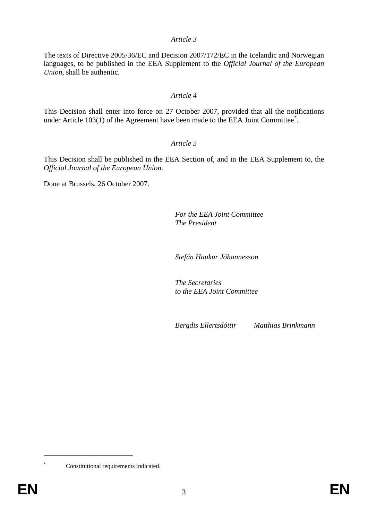## *Article 3*

The texts of Directive 2005/36/EC and Decision 2007/172/EC in the Icelandic and Norwegian languages, to be published in the EEA Supplement to the *Official Journal of the European Union*, shall be authentic.

## *Article 4*

This Decision shall enter into force on 27 October 2007, provided that all the notifications under Article 103(1) of the Agreement have been made to the EEA Joint Committee<sup>[\\*](#page-2-15)</sup>.

## *Article 5*

This Decision shall be published in the EEA Section of, and in the EEA Supplement to, the *Official Journal of the European Union*.

Done at Brussels, 26 October 2007.

*For the EEA Joint Committee The President*

*Stefán Haukur Jóhannesson*

*The Secretaries to the EEA Joint Committee*

*Bergdis Ellertsdóttir Matthias Brinkmann*

 $\overline{a}$ 

Constitutional requirements indicated.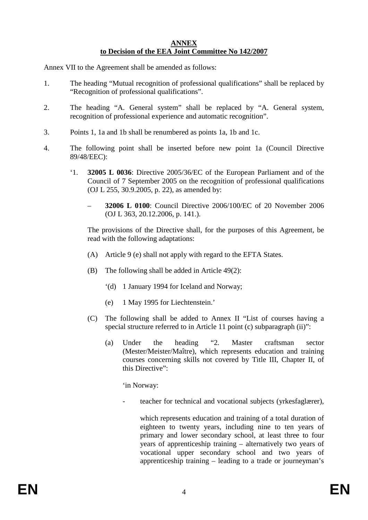## **ANNEX to Decision of the EEA Joint Committee No 142/2007**

Annex VII to the Agreement shall be amended as follows:

- 1. The heading "Mutual recognition of professional qualifications" shall be replaced by "Recognition of professional qualifications".
- 2. The heading "A. General system" shall be replaced by "A. General system, recognition of professional experience and automatic recognition".
- 3. Points 1, 1a and 1b shall be renumbered as points 1a, 1b and 1c.
- 4. The following point shall be inserted before new point 1a (Council Directive 89/48/EEC):
	- '1. **32005 L 0036**: Directive 2005/36/EC of the European Parliament and of the Council of 7 September 2005 on the recognition of professional qualifications (OJ L 255, 30.9.2005, p. 22), as amended by:
		- **32006 L 0100**: Council Directive 2006/100/EC of 20 November 2006 (OJ L 363, 20.12.2006, p. 141.).

The provisions of the Directive shall, for the purposes of this Agreement, be read with the following adaptations:

- (A) Article 9 (e) shall not apply with regard to the EFTA States.
- (B) The following shall be added in Article 49(2):
	- '(d) 1 January 1994 for Iceland and Norway;
	- (e) 1 May 1995 for Liechtenstein.'
- (C) The following shall be added to Annex II "List of courses having a special structure referred to in Article 11 point (c) subparagraph (ii)":
	- (a) Under the heading "2. Master craftsman sector (Mester/Meister/Maître), which represents education and training courses concerning skills not covered by Title III, Chapter II, of this Directive":

'in Norway:

teacher for technical and vocational subjects (yrkesfaglærer),

which represents education and training of a total duration of eighteen to twenty years, including nine to ten years of primary and lower secondary school, at least three to four years of apprenticeship training – alternatively two years of vocational upper secondary school and two years of apprenticeship training – leading to a trade or journeyman's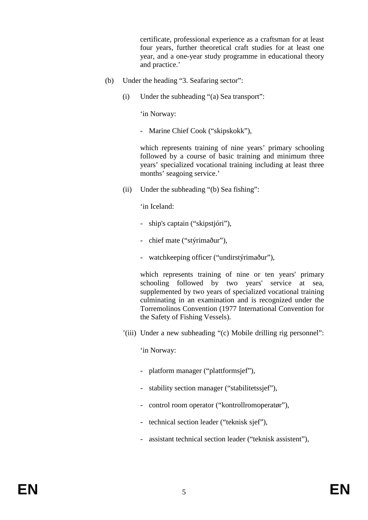certificate, professional experience as a craftsman for at least four years, further theoretical craft studies for at least one year, and a one-year study programme in educational theory and practice.'

- (b) Under the heading "3. Seafaring sector":
	- (i) Under the subheading "(a) Sea transport":

'in Norway:

- Marine Chief Cook ("skipskokk"),

which represents training of nine years' primary schooling followed by a course of basic training and minimum three years' specialized vocational training including at least three months' seagoing service.'

(ii) Under the subheading "(b) Sea fishing":

'in Iceland:

- ship's captain ("skipstjóri"),
- chief mate ("stýrimaður"),
- watchkeeping officer ("undirstýrimaður"),

which represents training of nine or ten years' primary schooling followed by two years' service at sea, supplemented by two years of specialized vocational training culminating in an examination and is recognized under the Torremolinos Convention (1977 International Convention for the Safety of Fishing Vessels).

'(iii) Under a new subheading "(c) Mobile drilling rig personnel":

'in Norway:

- platform manager ("plattformsjef"),
- stability section manager ("stabilitetssjef"),
- control room operator ("kontrollromoperatør"),
- technical section leader ("teknisk sjef"),
- assistant technical section leader ("teknisk assistent"),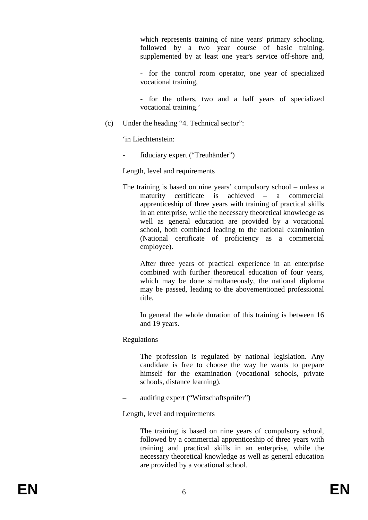which represents training of nine years' primary schooling, followed by a two year course of basic training, supplemented by at least one year's service off-shore and,

- for the control room operator, one year of specialized vocational training,

- for the others, two and a half years of specialized vocational training.'

(c) Under the heading "4. Technical sector":

'in Liechtenstein:

fiduciary expert ("Treuhänder")

Length, level and requirements

The training is based on nine years' compulsory school – unless a maturity certificate is achieved – a commercial apprenticeship of three years with training of practical skills in an enterprise, while the necessary theoretical knowledge as well as general education are provided by a vocational school, both combined leading to the national examination (National certificate of proficiency as a commercial employee).

After three years of practical experience in an enterprise combined with further theoretical education of four years, which may be done simultaneously, the national diploma may be passed, leading to the abovementioned professional title.

In general the whole duration of this training is between 16 and 19 years.

# Regulations

The profession is regulated by national legislation. Any candidate is free to choose the way he wants to prepare himself for the examination (vocational schools, private schools, distance learning).

– auditing expert ("Wirtschaftsprüfer")

Length, level and requirements

The training is based on nine years of compulsory school, followed by a commercial apprenticeship of three years with training and practical skills in an enterprise, while the necessary theoretical knowledge as well as general education are provided by a vocational school.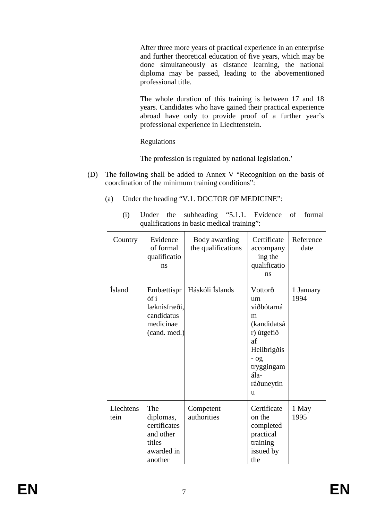After three more years of practical experience in an enterprise and further theoretical education of five years, which may be done simultaneously as distance learning, the national diploma may be passed, leading to the abovementioned professional title.

The whole duration of this training is between 17 and 18 years. Candidates who have gained their practical experience abroad have only to provide proof of a further year's professional experience in Liechtenstein.

Regulations

The profession is regulated by national legislation.'

- (D) The following shall be added to Annex V "Recognition on the basis of coordination of the minimum training conditions":
	- (a) Under the heading "V.1. DOCTOR OF MEDICINE":
		- (i) Under the subheading "5.1.1. Evidence of formal qualifications in basic medical training":

| Country           | Evidence<br>of formal<br>qualificatio<br>ns                                      | Body awarding<br>the qualifications | Certificate<br>accompany<br>ing the<br>qualificatio<br>ns                                                                             | Reference<br>date |
|-------------------|----------------------------------------------------------------------------------|-------------------------------------|---------------------------------------------------------------------------------------------------------------------------------------|-------------------|
| <b>Ísland</b>     | Embættispr<br>óf í<br>læknisfræði,<br>candidatus<br>medicinae<br>(cand. med.)    | Háskóli Íslands                     | Vottorð<br>um<br>viðbótarná<br>m<br>(kandidatsá<br>r) útgefið<br>af<br>Heilbrigðis<br>$-$ 0g<br>tryggingam<br>ála-<br>ráðuneytin<br>u | 1 January<br>1994 |
| Liechtens<br>tein | The<br>diplomas,<br>certificates<br>and other<br>titles<br>awarded in<br>another | Competent<br>authorities            | Certificate<br>on the<br>completed<br>practical<br>training<br>issued by<br>the                                                       | 1 May<br>1995     |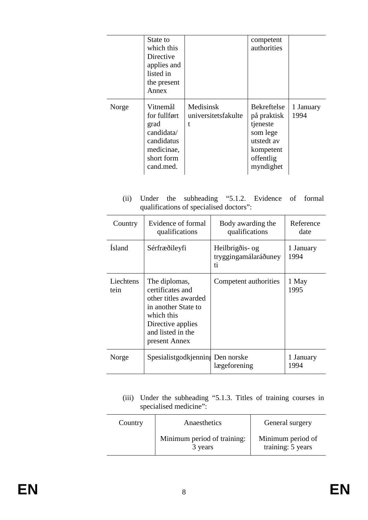|       | State to<br>which this<br>Directive<br>applies and<br>listed in<br>the present<br>Annex               |                                       | competent<br>authorities                                                                                |                   |
|-------|-------------------------------------------------------------------------------------------------------|---------------------------------------|---------------------------------------------------------------------------------------------------------|-------------------|
| Norge | Vitnemål<br>for fullført<br>grad<br>candidata/<br>candidatus<br>medicinae,<br>short form<br>cand.med. | Medisinsk<br>universitetsfakulte<br>t | Bekreftelse<br>på praktisk<br>tjeneste<br>som lege<br>utstedt av<br>kompetent<br>offentlig<br>myndighet | 1 January<br>1994 |

(ii) Under the subheading "5.1.2. Evidence of formal qualifications of specialised doctors":

| Country           | Evidence of formal<br>qualifications                                                                                                                      | Body awarding the<br>qualifications           | Reference<br>date |
|-------------------|-----------------------------------------------------------------------------------------------------------------------------------------------------------|-----------------------------------------------|-------------------|
| Ísland            | Sérfræðileyfi                                                                                                                                             | Heilbrigðis- og<br>tryggingamálaráðuney<br>ti | 1 January<br>1994 |
| Liechtens<br>tein | The diplomas,<br>certificates and<br>other titles awarded<br>in another State to<br>which this<br>Directive applies<br>and listed in the<br>present Annex | Competent authorities                         | 1 May<br>1995     |
| Norge             | Spesialistgodkjenning Den norske                                                                                                                          | lægeforening                                  | 1 January<br>1994 |

(iii) Under the subheading "5.1.3. Titles of training courses in specialised medicine":

| Country | Anaesthetics                           | General surgery                        |
|---------|----------------------------------------|----------------------------------------|
|         | Minimum period of training:<br>3 years | Minimum period of<br>training: 5 years |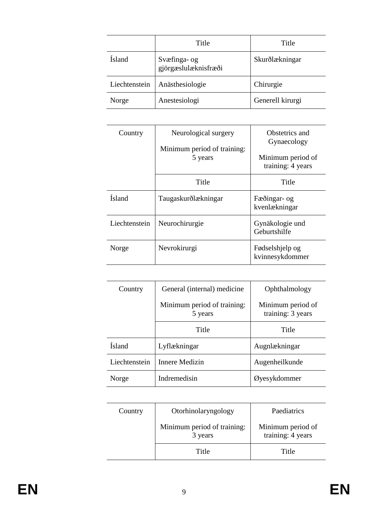|               | Title                                | Title            |
|---------------|--------------------------------------|------------------|
| <b>Ísland</b> | Svæfinga- og<br>gjörgæslulæknisfræði | Skurðlækningar   |
| Liechtenstein | Anästhesiologie                      | Chirurgie        |
| Norge         | Anestesiologi                        | Generell kirurgi |

| Country       | Neurological surgery<br>Minimum period of training: | Obstetrics and<br>Gynaecology          |
|---------------|-----------------------------------------------------|----------------------------------------|
|               | 5 years                                             | Minimum period of<br>training: 4 years |
|               | Title                                               | Title                                  |
| Ísland        | Taugaskurðlækningar                                 | Fæðingar- og<br>kvenlækningar          |
| Liechtenstein | Neurochirurgie                                      | Gynäkologie und<br>Geburtshilfe        |
| Norge         | Nevrokirurgi                                        | Fødselshjelp og<br>kvinnesykdommer     |

| Country       | General (internal) medicine            | Ophthalmology                          |
|---------------|----------------------------------------|----------------------------------------|
|               | Minimum period of training:<br>5 years | Minimum period of<br>training: 3 years |
|               | Title                                  | Title                                  |
| Ísland        | Lyflækningar                           | Augnlækningar                          |
| Liechtenstein | Innere Medizin                         | Augenheilkunde                         |
| Norge         | Indremedisin                           | Øyesykdommer                           |

| Country | Otorhinolaryngology                    | Paediatrics                            |
|---------|----------------------------------------|----------------------------------------|
|         | Minimum period of training:<br>3 years | Minimum period of<br>training: 4 years |
|         | Title                                  | Title                                  |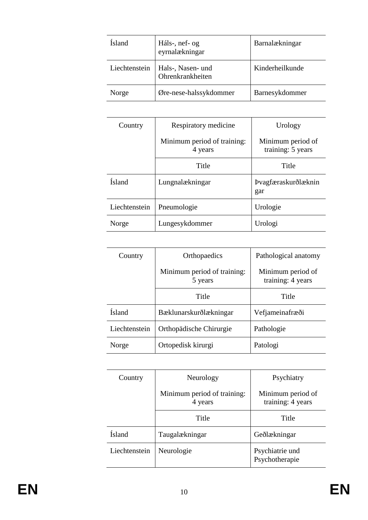| <b>Ísland</b> | Háls-, nef- og<br>eyrnalækningar      | Barnalækningar  |
|---------------|---------------------------------------|-----------------|
| Liechtenstein | Hals-, Nasen- und<br>Ohrenkrankheiten | Kinderheilkunde |
| Norge         | Øre-nese-halssykdommer                | Barnesykdommer  |

| Country       | Respiratory medicine                   | Urology                                |
|---------------|----------------------------------------|----------------------------------------|
|               | Minimum period of training:<br>4 years | Minimum period of<br>training: 5 years |
|               | Title                                  | Title                                  |
| <b>Ísland</b> | Lungnalækningar                        | Þvagfæraskurðlæknin<br>gar             |
| Liechtenstein | Pneumologie                            | Urologie                               |
| Norge         | Lungesykdommer                         | Urologi                                |

| Country       | Orthopaedics                           | Pathological anatomy                   |
|---------------|----------------------------------------|----------------------------------------|
|               | Minimum period of training:<br>5 years | Minimum period of<br>training: 4 years |
|               | Title                                  | Title                                  |
| <b>Ísland</b> | Bæklunarskurðlækningar                 | Vefjameinafræði                        |
| Liechtenstein | Orthopädische Chirurgie                | Pathologie                             |
| Norge         | Ortopedisk kirurgi                     | Patologi                               |

| Country       | Neurology                              | Psychiatry                             |
|---------------|----------------------------------------|----------------------------------------|
|               | Minimum period of training:<br>4 years | Minimum period of<br>training: 4 years |
|               | Title                                  | Title                                  |
| Ísland        | Taugalækningar                         | Geðlækningar                           |
| Liechtenstein | Neurologie                             | Psychiatrie und<br>Psychotherapie      |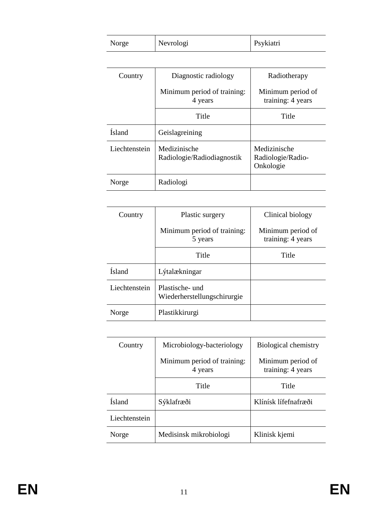| Norge | Nevrologi | Psykiatri |  |
|-------|-----------|-----------|--|
|-------|-----------|-----------|--|

| Country       | Diagnostic radiology                       | Radiotherapy                                   |
|---------------|--------------------------------------------|------------------------------------------------|
|               | Minimum period of training:<br>4 years     | Minimum period of<br>training: 4 years         |
|               | Title                                      | Title                                          |
| <b>Ísland</b> | Geislagreining                             |                                                |
| Liechtenstein | Medizinische<br>Radiologie/Radiodiagnostik | Medizinische<br>Radiologie/Radio-<br>Onkologie |
| Norge         | Radiologi                                  |                                                |

| Country       | Plastic surgery                                | Clinical biology                       |
|---------------|------------------------------------------------|----------------------------------------|
|               | Minimum period of training:<br>5 years         | Minimum period of<br>training: 4 years |
|               | Title                                          | Title                                  |
| <b>Ísland</b> | Lýtalækningar                                  |                                        |
| Liechtenstein | Plastische- und<br>Wiederherstellungschirurgie |                                        |
| Norge         | Plastikkirurgi                                 |                                        |

| Country       | Microbiology-bacteriology              | Biological chemistry                   |
|---------------|----------------------------------------|----------------------------------------|
|               | Minimum period of training:<br>4 years | Minimum period of<br>training: 4 years |
|               | Title                                  | Title                                  |
| Ísland        | Sýklafræði                             | Klínísk lífefnafræði                   |
| Liechtenstein |                                        |                                        |
| Norge         | Medisinsk mikrobiologi                 | Klinisk kjemi                          |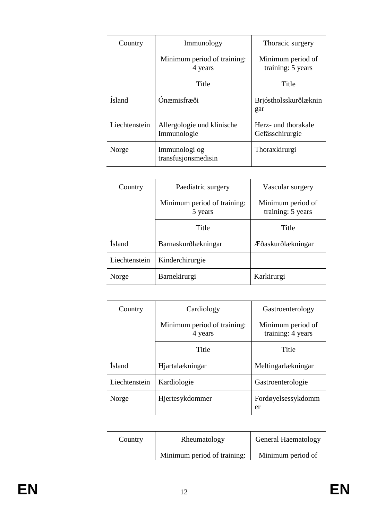| Country       | Immunology                                | Thoracic surgery                       |
|---------------|-------------------------------------------|----------------------------------------|
|               | Minimum period of training:<br>4 years    | Minimum period of<br>training: 5 years |
|               | Title                                     | Title                                  |
| <b>Ísland</b> | Ónæmisfræði                               | Brjóstholsskurðlæknin<br>gar           |
| Liechtenstein | Allergologie und klinische<br>Immunologie | Herz- und thorakale<br>Gefässchirurgie |
| Norge         | Immunologi og<br>transfusjonsmedisin      | Thoraxkirurgi                          |

| Country       | Paediatric surgery                     | Vascular surgery                       |
|---------------|----------------------------------------|----------------------------------------|
|               | Minimum period of training:<br>5 years | Minimum period of<br>training: 5 years |
|               | Title                                  | Title                                  |
| <b>Ísland</b> | Barnaskurðlækningar                    | Æðaskurðlækningar                      |
| Liechtenstein | Kinderchirurgie                        |                                        |
| Norge         | Barnekirurgi                           | Karkirurgi                             |

| Country       | Cardiology                             | Gastroenterology                       |
|---------------|----------------------------------------|----------------------------------------|
|               | Minimum period of training:<br>4 years | Minimum period of<br>training: 4 years |
|               | Title                                  | Title                                  |
| <b>Ísland</b> | Hjartalækningar                        | Meltingarlækningar                     |
| Liechtenstein | Kardiologie                            | Gastroenterologie                      |
| Norge         | Hjertesykdommer                        | Fordøyelsessykdomm<br>er               |

| Country | Rheumatology                | General Haematology |
|---------|-----------------------------|---------------------|
|         | Minimum period of training: | Minimum period of   |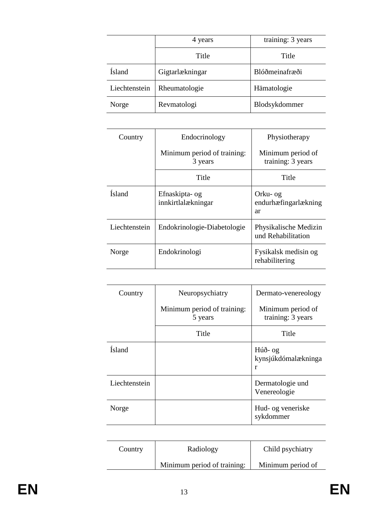|               | 4 years         | training: 3 years |
|---------------|-----------------|-------------------|
|               | Title           | Title             |
| <b>Ísland</b> | Gigtarlækningar | Blóðmeinafræði    |
| Liechtenstein | Rheumatologie   | Hämatologie       |
| Norge         | Revmatologi     | Blodsykdommer     |

| Country       | Endocrinology                          | Physiotherapy                               |
|---------------|----------------------------------------|---------------------------------------------|
|               | Minimum period of training:<br>3 years | Minimum period of<br>training: 3 years      |
|               | Title                                  | Title                                       |
| <b>Ísland</b> | Efnaskipta- og<br>innkirtlalækningar   | Orku- og<br>endurhæfingarlækning<br>ar      |
| Liechtenstein | Endokrinologie-Diabetologie            | Physikalische Medizin<br>und Rehabilitation |
| Norge         | Endokrinologi                          | Fysikalsk medisin og<br>rehabilitering      |

| Country       | Neuropsychiatry                        | Dermato-venereology                    |
|---------------|----------------------------------------|----------------------------------------|
|               | Minimum period of training:<br>5 years | Minimum period of<br>training: 3 years |
|               | Title                                  | Title                                  |
| <b>Ísland</b> |                                        | Húð- og<br>kynsjúkdómalækninga<br>r    |
| Liechtenstein |                                        | Dermatologie und<br>Venereologie       |
| Norge         |                                        | Hud- og veneriske<br>sykdommer         |

| Country | Radiology                   | Child psychiatry  |
|---------|-----------------------------|-------------------|
|         | Minimum period of training: | Minimum period of |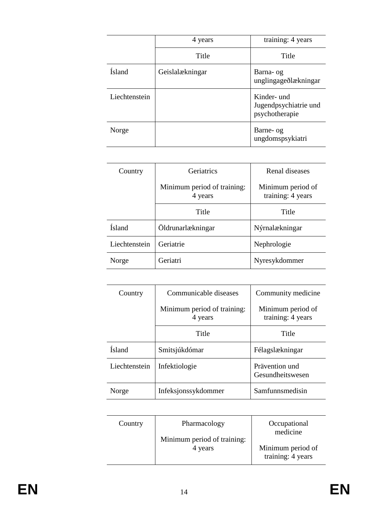|               | 4 years         | training: 4 years                                      |
|---------------|-----------------|--------------------------------------------------------|
|               | Title           | Title                                                  |
| Ísland        | Geislalækningar | Barna- og<br>unglingageðlækningar                      |
| Liechtenstein |                 | Kinder- und<br>Jugendpsychiatrie und<br>psychotherapie |
| Norge         |                 | Barne- og<br>ungdomspsykiatri                          |

| Country       | Geriatrics                             | Renal diseases                         |  |
|---------------|----------------------------------------|----------------------------------------|--|
|               | Minimum period of training:<br>4 years | Minimum period of<br>training: 4 years |  |
|               | Title                                  | Title                                  |  |
| <b>Ísland</b> | Öldrunarlækningar                      | Nýrnalækningar                         |  |
| Liechtenstein | Geriatrie                              | Nephrologie                            |  |
| Norge         | Geriatri                               | Nyresykdommer                          |  |

| Country       | Communicable diseases                  | Community medicine                     |  |
|---------------|----------------------------------------|----------------------------------------|--|
|               | Minimum period of training:<br>4 years | Minimum period of<br>training: 4 years |  |
|               | Title                                  | Title                                  |  |
| <b>Ísland</b> | Smitsjúkdómar                          | Félagslækningar                        |  |
| Liechtenstein | Infektiologie                          | Prävention und<br>Gesundheitswesen     |  |
| Norge         | Infeksjonssykdommer                    | Samfunnsmedisin                        |  |

| Country | Pharmacology<br>Minimum period of training: | Occupational<br>medicine               |
|---------|---------------------------------------------|----------------------------------------|
|         | 4 years                                     | Minimum period of<br>training: 4 years |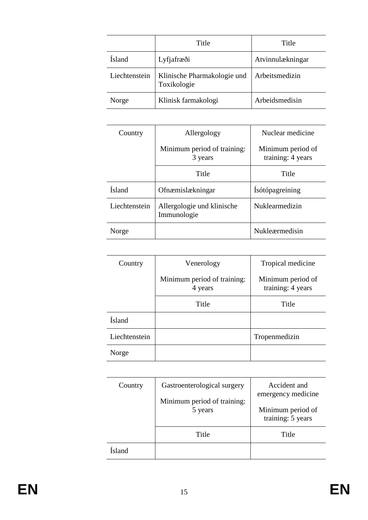|               | Title                                      | Title            |  |
|---------------|--------------------------------------------|------------------|--|
| Ísland        | Lyfjafræði                                 | Atvinnulækningar |  |
| Liechtenstein | Klinische Pharmakologie und<br>Toxikologie | Arbeitsmedizin   |  |
| Norge         | Klinisk farmakologi                        | Arbeidsmedisin   |  |

| Country       | Allergology                               | Nuclear medicine                       |  |
|---------------|-------------------------------------------|----------------------------------------|--|
|               | Minimum period of training:<br>3 years    | Minimum period of<br>training: 4 years |  |
|               | Title                                     | Title                                  |  |
| <b>Ísland</b> | Ofnæmislækningar                          | Ísótópagreining                        |  |
| Liechtenstein | Allergologie und klinische<br>Immunologie | Nuklearmedizin                         |  |
| Norge         |                                           | Nukleærmedisin                         |  |

| Country       | Venerology                             | Tropical medicine                      |  |
|---------------|----------------------------------------|----------------------------------------|--|
|               | Minimum period of training:<br>4 years | Minimum period of<br>training: 4 years |  |
|               | Title                                  | Title                                  |  |
| <b>Ísland</b> |                                        |                                        |  |
| Liechtenstein |                                        | Tropenmedizin                          |  |
| Norge         |                                        |                                        |  |

| Country | Gastroenterological surgery<br>Minimum period of training:<br>5 years | Accident and<br>emergency medicine<br>Minimum period of<br>training: 5 years |  |
|---------|-----------------------------------------------------------------------|------------------------------------------------------------------------------|--|
|         | Title                                                                 | Title                                                                        |  |
| feland  |                                                                       |                                                                              |  |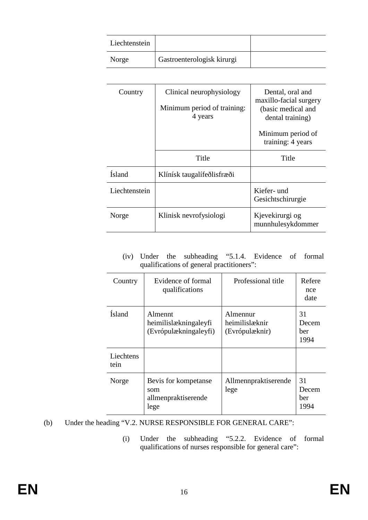| Liechtenstein |                            |  |
|---------------|----------------------------|--|
| Norge         | Gastroenterologisk kirurgi |  |

| Country       | Clinical neurophysiology<br>Minimum period of training:<br>4 years | Dental, oral and<br>maxillo-facial surgery<br>(basic medical and<br>dental training) |
|---------------|--------------------------------------------------------------------|--------------------------------------------------------------------------------------|
|               |                                                                    | Minimum period of<br>training: 4 years                                               |
|               | Title                                                              | Title                                                                                |
| <b>Ísland</b> | Klínísk taugalífeðlisfræði                                         |                                                                                      |
| Liechtenstein |                                                                    | Kiefer- und<br>Gesichtschirurgie                                                     |
| Norge         | Klinisk nevrofysiologi                                             | Kjevekirurgi og<br>munnhulesykdommer                                                 |

(iv) Under the subheading "5.1.4. Evidence of formal qualifications of general practitioners":

| Country            | Evidence of formal<br>qualifications                             | Professional title                           | Refere<br>nce<br>date             |
|--------------------|------------------------------------------------------------------|----------------------------------------------|-----------------------------------|
| <b>Ísland</b>      | <b>Almennt</b><br>heimilislækningaleyfi<br>(Evrópulækningaleyfi) | Almennur<br>heimilislæknir<br>(Evrópulæknir) | 31<br>Decem<br><b>ber</b><br>1994 |
| Liechtens<br>tein. |                                                                  |                                              |                                   |
| Norge              | Bevis for kompetanse<br>som<br>allmenpraktiserende<br>lege       | Allmennpraktiserende<br>lege                 | 31<br>Decem<br>ber<br>1994        |

- (b) Under the heading "V.2. NURSE RESPONSIBLE FOR GENERAL CARE":
	- (i) Under the subheading "5.2.2. Evidence of formal qualifications of nurses responsible for general care":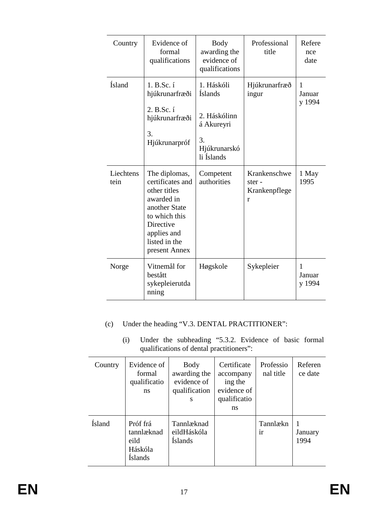| Country           | Evidence of<br>formal<br>qualifications                                                                                                                         | <b>Body</b><br>awarding the<br>evidence of<br>qualifications                                   | Professional<br>title                       | Refere<br>nce<br>date |
|-------------------|-----------------------------------------------------------------------------------------------------------------------------------------------------------------|------------------------------------------------------------------------------------------------|---------------------------------------------|-----------------------|
| <b>Ísland</b>     | 1. B.Sc. í<br>hjúkrunarfræði<br>2. B.Sc. í<br>hjúkrunarfræði<br>3.<br>Hjúkrunarpróf                                                                             | 1. Háskóli<br><b>Íslands</b><br>2. Háskólinn<br>á Akureyri<br>3.<br>Hjúkrunarskó<br>li Íslands | Hjúkrunarfræð<br>ingur                      | 1<br>Januar<br>y 1994 |
| Liechtens<br>tein | The diplomas,<br>certificates and<br>other titles<br>awarded in<br>another State<br>to which this<br>Directive<br>applies and<br>listed in the<br>present Annex | Competent<br>authorities                                                                       | Krankenschwe<br>ster-<br>Krankenpflege<br>r | 1 May<br>1995         |
| Norge             | Vitnemål for<br>bestått<br>sykepleierutda<br>nning                                                                                                              | Høgskole                                                                                       | Sykepleier                                  | 1<br>Januar<br>y 1994 |

- (c) Under the heading "V.3. DENTAL PRACTITIONER":
	- (i) Under the subheading "5.3.2. Evidence of basic formal qualifications of dental practitioners":

| Country | Evidence of<br>formal<br>qualificatio<br>ns                 | Body<br>awarding the<br>evidence of<br>qualification<br>S | Certificate<br>accompany<br>ing the<br>evidence of<br>qualificatio<br>ns | Professio<br>nal title | Referen<br>ce date |
|---------|-------------------------------------------------------------|-----------------------------------------------------------|--------------------------------------------------------------------------|------------------------|--------------------|
| Ísland  | Próf frá<br>tannlæknad<br>eild<br>Háskóla<br><b>Islands</b> | Tannlæknad<br>eildHáskóla<br><b>Islands</b>               |                                                                          | Tannlækn<br>ir         | January<br>1994    |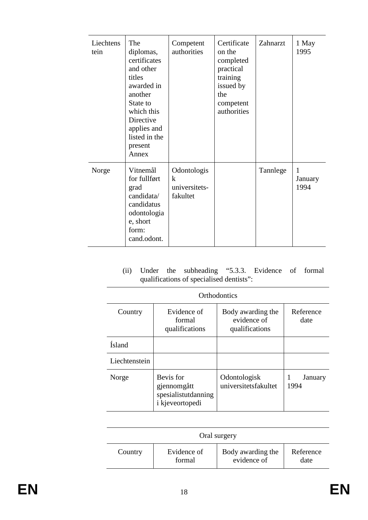| Liechtens<br>tein | The<br>diplomas,<br>certificates<br>and other<br>titles<br>awarded in<br>another<br>State to<br>which this<br>Directive<br>applies and<br>listed in the<br>present<br>Annex | Competent<br>authorities                                | Certificate<br>on the<br>completed<br>practical<br>training<br>issued by<br>the<br>competent<br>authorities | Zahnarzt | 1 May<br>1995        |
|-------------------|-----------------------------------------------------------------------------------------------------------------------------------------------------------------------------|---------------------------------------------------------|-------------------------------------------------------------------------------------------------------------|----------|----------------------|
| Norge             | Vitnemål<br>for fullført<br>grad<br>candidata/<br>candidatus<br>odontologia<br>e, short<br>form:<br>cand.odont.                                                             | Odontologis<br>$\mathbf k$<br>universitets-<br>fakultet |                                                                                                             | Tannlege | 1<br>January<br>1994 |

(ii) Under the subheading "5.3.3. Evidence of formal qualifications of specialised dentists":

| <b>Orthodontics</b> |                                                                           |                                                    |                   |  |  |
|---------------------|---------------------------------------------------------------------------|----------------------------------------------------|-------------------|--|--|
| Country             | Evidence of<br>formal<br>qualifications                                   | Body awarding the<br>evidence of<br>qualifications | Reference<br>date |  |  |
| <b>Ísland</b>       |                                                                           |                                                    |                   |  |  |
| Liechtenstein       |                                                                           |                                                    |                   |  |  |
| Norge               | Bevis for<br>gjennomgått<br>spesialistutdanning<br><i>i</i> kjeveortopedi | Odontologisk<br>universitetsfakultet               | January<br>1994   |  |  |

| Oral surgery |             |                   |           |
|--------------|-------------|-------------------|-----------|
| Country      | Evidence of | Body awarding the | Reference |
|              | formal      | evidence of       | date      |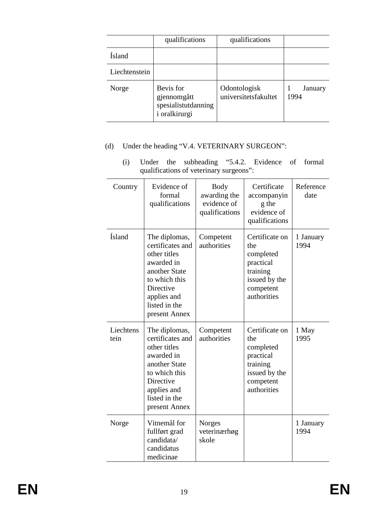|               | qualifications                                                   | qualifications                       |                 |
|---------------|------------------------------------------------------------------|--------------------------------------|-----------------|
| Ísland        |                                                                  |                                      |                 |
| Liechtenstein |                                                                  |                                      |                 |
| Norge         | Bevis for<br>gjennomgått<br>spesialistutdanning<br>i oralkirurgi | Odontologisk<br>universitetsfakultet | January<br>1994 |

# (d) Under the heading "V.4. VETERINARY SURGEON":

(i) Under the subheading "5.4.2. Evidence of formal qualifications of veterinary surgeons":

| Country           | Evidence of<br>formal<br>qualifications                                                                                                                         | <b>Body</b><br>awarding the<br>evidence of<br>qualifications | Certificate<br>accompanyin<br>g the<br>evidence of<br>qualifications                                     | Reference<br>date |
|-------------------|-----------------------------------------------------------------------------------------------------------------------------------------------------------------|--------------------------------------------------------------|----------------------------------------------------------------------------------------------------------|-------------------|
| Ísland            | The diplomas,<br>certificates and<br>other titles<br>awarded in<br>another State<br>to which this<br>Directive<br>applies and<br>listed in the<br>present Annex | Competent<br>authorities                                     | Certificate on<br>the<br>completed<br>practical<br>training<br>issued by the<br>competent<br>authorities | 1 January<br>1994 |
| Liechtens<br>tein | The diplomas,<br>certificates and<br>other titles<br>awarded in<br>another State<br>to which this<br>Directive<br>applies and<br>listed in the<br>present Annex | Competent<br>authorities                                     | Certificate on<br>the<br>completed<br>practical<br>training<br>issued by the<br>competent<br>authorities | 1 May<br>1995     |
| Norge             | Vitnemål for<br>fullført grad<br>candidata/<br>candidatus<br>medicinae                                                                                          | Norges<br>veterinærhøg<br>skole                              |                                                                                                          | 1 January<br>1994 |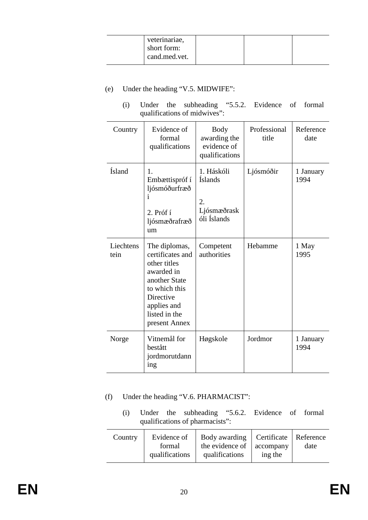| veterinariae,<br>short form:<br>cand.med.vet. |  |  |  |
|-----------------------------------------------|--|--|--|
|-----------------------------------------------|--|--|--|

- (e) Under the heading "V.5. MIDWIFE":
	- (i) Under the subheading "5.5.2. Evidence of formal qualifications of midwives":

| Country           | Evidence of<br>formal<br>qualifications                                                                                                                         | <b>Body</b><br>awarding the<br>evidence of<br>qualifications     | Professional<br>title | Reference<br>date |
|-------------------|-----------------------------------------------------------------------------------------------------------------------------------------------------------------|------------------------------------------------------------------|-----------------------|-------------------|
| <b>Ísland</b>     | 1.<br>Embættispróf í<br>ljósmóðurfræð<br>i<br>2. Próf í<br>ljósmæðrafræð<br>um                                                                                  | 1. Háskóli<br><b>Íslands</b><br>2.<br>Ljósmæðrask<br>óli Íslands | Ljósmóðir             | 1 January<br>1994 |
| Liechtens<br>tein | The diplomas,<br>certificates and<br>other titles<br>awarded in<br>another State<br>to which this<br>Directive<br>applies and<br>listed in the<br>present Annex | Competent<br>authorities                                         | Hebamme               | 1 May<br>1995     |
| Norge             | Vitnemål for<br>bestått<br>jordmorutdann<br>ing                                                                                                                 | Høgskole                                                         | Jordmor               | 1 January<br>1994 |

- (f) Under the heading "V.6. PHARMACIST":
	- (i) Under the subheading "5.6.2. Evidence of formal qualifications of pharmacists":

| Country | Evidence of<br>formal<br>qualifications | Body awarding<br>the evidence of<br>qualifications | Certificate   Reference<br>accompany<br>ing the | date |
|---------|-----------------------------------------|----------------------------------------------------|-------------------------------------------------|------|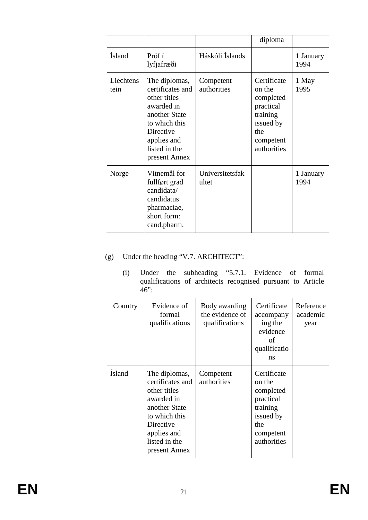|                   |                                                                                                                                                                 |                          | diploma                                                                                                     |                   |
|-------------------|-----------------------------------------------------------------------------------------------------------------------------------------------------------------|--------------------------|-------------------------------------------------------------------------------------------------------------|-------------------|
| <b>Ísland</b>     | Próf í<br>lyfjafræði                                                                                                                                            | Háskóli Íslands          |                                                                                                             | 1 January<br>1994 |
| Liechtens<br>tein | The diplomas,<br>certificates and<br>other titles<br>awarded in<br>another State<br>to which this<br>Directive<br>applies and<br>listed in the<br>present Annex | Competent<br>authorities | Certificate<br>on the<br>completed<br>practical<br>training<br>issued by<br>the<br>competent<br>authorities | 1 May<br>1995     |
| Norge             | Vitnemål for<br>fullført grad<br>candidata/<br>candidatus<br>pharmaciae,<br>short form:<br>cand.pharm.                                                          | Universitetsfak<br>ultet |                                                                                                             | 1 January<br>1994 |

# (g) Under the heading "V.7. ARCHITECT":

(i) Under the subheading "5.7.1. Evidence of formal qualifications of architects recognised pursuant to Article  $46$ ":

| Country | Evidence of<br>formal<br>qualifications                                                                                                                         | Body awarding<br>the evidence of<br>qualifications | Certificate<br>accompany<br>ing the<br>evidence<br>of<br>qualificatio<br>ns                                 | Reference<br>academic<br>year |
|---------|-----------------------------------------------------------------------------------------------------------------------------------------------------------------|----------------------------------------------------|-------------------------------------------------------------------------------------------------------------|-------------------------------|
| Ísland  | The diplomas,<br>certificates and<br>other titles<br>awarded in<br>another State<br>to which this<br>Directive<br>applies and<br>listed in the<br>present Annex | Competent<br>authorities                           | Certificate<br>on the<br>completed<br>practical<br>training<br>issued by<br>the<br>competent<br>authorities |                               |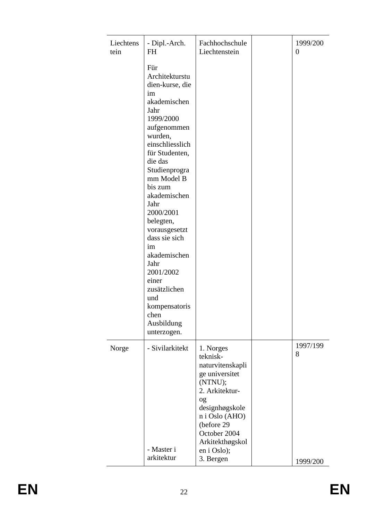| Liechtens<br>tein | - Dipl.-Arch.<br>FH                                                                                                                                                                                                                                                                                                                                                                                                          | Fachhochschule<br>Liechtenstein                                                                                                                                                                                 | 1999/200<br>$\boldsymbol{0}$ |
|-------------------|------------------------------------------------------------------------------------------------------------------------------------------------------------------------------------------------------------------------------------------------------------------------------------------------------------------------------------------------------------------------------------------------------------------------------|-----------------------------------------------------------------------------------------------------------------------------------------------------------------------------------------------------------------|------------------------------|
|                   | Für<br>Architekturstu<br>dien-kurse, die<br>im<br>akademischen<br>Jahr<br>1999/2000<br>aufgenommen<br>wurden,<br>einschliesslich<br>für Studenten,<br>die das<br>Studienprogra<br>mm Model B<br>bis zum<br>akademischen<br>Jahr<br>2000/2001<br>belegten,<br>vorausgesetzt<br>dass sie sich<br>im<br>akademischen<br>Jahr<br>2001/2002<br>einer<br>zusätzlichen<br>und<br>kompensatoris<br>chen<br>Ausbildung<br>unterzogen. |                                                                                                                                                                                                                 |                              |
| Norge             | - Sivilarkitekt<br>- Master i<br>arkitektur                                                                                                                                                                                                                                                                                                                                                                                  | 1. Norges<br>teknisk-<br>naturvitenskapli<br>ge universitet<br>(NTNU);<br>2. Arkitektur-<br>og<br>designhøgskole<br>n i Oslo (AHO)<br>(before 29<br>October 2004<br>Arkitekthøgskol<br>en i Oslo);<br>3. Bergen | 1997/199<br>8<br>1999/200    |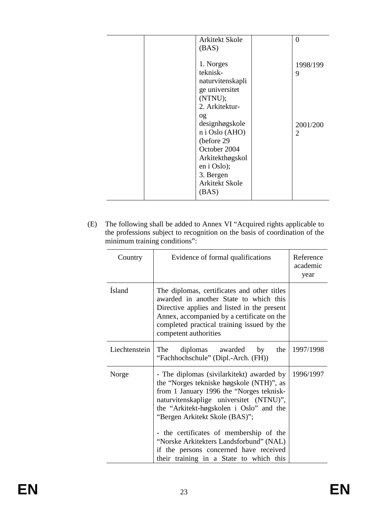|  | Arkitekt Skole                   | $\overline{0}$ |
|--|----------------------------------|----------------|
|  | (BAS)                            |                |
|  | 1. Norges                        | 1998/199       |
|  | teknisk-                         | 9              |
|  | naturvitenskapli                 |                |
|  | ge universitet                   |                |
|  | (NTNU);                          |                |
|  | 2. Arkitektur-                   |                |
|  | og                               |                |
|  | designhøgskole<br>n i Oslo (AHO) | 2001/200       |
|  | (before 29                       | $\overline{2}$ |
|  | October 2004                     |                |
|  | Arkitekthøgskol                  |                |
|  | en i Oslo);                      |                |
|  | 3. Bergen                        |                |
|  | <b>Arkitekt Skole</b>            |                |
|  | (BAS)                            |                |
|  |                                  |                |

(E) The following shall be added to Annex VI "Acquired rights applicable to the professions subject to recognition on the basis of coordination of the minimum training conditions":

| Country       | Evidence of formal qualifications                                                                                                                                                                                                                                                                                                                                                                                                     | Reference<br>academic<br>year |
|---------------|---------------------------------------------------------------------------------------------------------------------------------------------------------------------------------------------------------------------------------------------------------------------------------------------------------------------------------------------------------------------------------------------------------------------------------------|-------------------------------|
| <b>Ísland</b> | The diplomas, certificates and other titles<br>awarded in another State to which this<br>Directive applies and listed in the present<br>Annex, accompanied by a certificate on the<br>completed practical training issued by the<br>competent authorities                                                                                                                                                                             |                               |
| Liechtenstein | diplomas<br>awarded<br>the<br>The<br>by<br>"Fachhochschule" (Dipl.-Arch. (FH))                                                                                                                                                                                                                                                                                                                                                        | 1997/1998                     |
| Norge         | - The diplomas (sivilar kitekt) awarded by<br>the "Norges tekniske høgskole (NTH)", as<br>from 1 January 1996 the "Norges teknisk-<br>naturvitenskaplige universitet (NTNU)",<br>the "Arkitekt-høgskolen i Oslo" and the<br>"Bergen Arkitekt Skole (BAS)";<br>- the certificates of membership of the<br>"Norske Arkitekters Landsforbund" (NAL)<br>if the persons concerned have received<br>their training in a State to which this | 1996/1997                     |